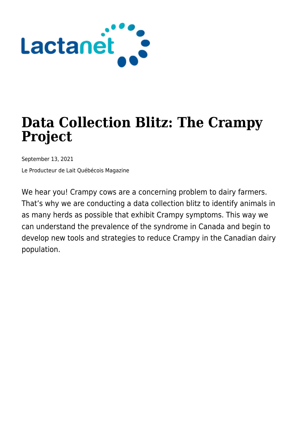

# **Data Collection Blitz: The Crampy Project**

September 13, 2021

Le Producteur de Lait Québécois Magazine

We hear you! Crampy cows are a concerning problem to dairy farmers. That's why we are conducting a data collection blitz to identify animals in as many herds as possible that exhibit Crampy symptoms. This way we can understand the prevalence of the syndrome in Canada and begin to develop new tools and strategies to reduce Crampy in the Canadian dairy population.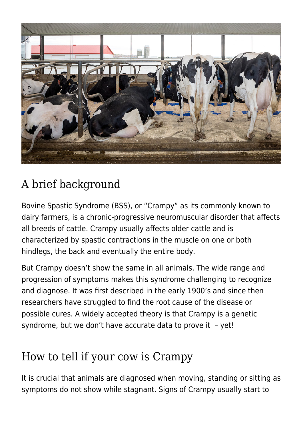

# A brief background

Bovine Spastic Syndrome (BSS), or "Crampy" as its commonly known to dairy farmers, is a chronic-progressive neuromuscular disorder that affects all breeds of cattle. Crampy usually affects older cattle and is characterized by spastic contractions in the muscle on one or both hindlegs, the back and eventually the entire body.

But Crampy doesn't show the same in all animals. The wide range and progression of symptoms makes this syndrome challenging to recognize and diagnose. It was first described in the early 1900's and since then researchers have struggled to find the root cause of the disease or possible cures. A widely accepted theory is that Crampy is a genetic syndrome, but we don't have accurate data to prove it – yet!

#### How to tell if your cow is Crampy

It is crucial that animals are diagnosed when moving, standing or sitting as symptoms do not show while stagnant. Signs of Crampy usually start to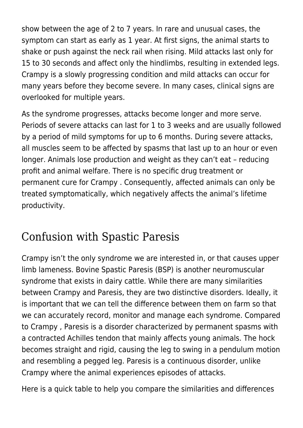show between the age of 2 to 7 years. In rare and unusual cases, the symptom can start as early as 1 year. At first signs, the animal starts to shake or push against the neck rail when rising. Mild attacks last only for 15 to 30 seconds and affect only the hindlimbs, resulting in extended legs. Crampy is a slowly progressing condition and mild attacks can occur for many years before they become severe. In many cases, clinical signs are overlooked for multiple years.

As the syndrome progresses, attacks become longer and more serve. Periods of severe attacks can last for 1 to 3 weeks and are usually followed by a period of mild symptoms for up to 6 months. During severe attacks, all muscles seem to be affected by spasms that last up to an hour or even longer. Animals lose production and weight as they can't eat – reducing profit and animal welfare. There is no specific drug treatment or permanent cure for Crampy . Consequently, affected animals can only be treated symptomatically, which negatively affects the animal's lifetime productivity.

### Confusion with Spastic Paresis

Crampy isn't the only syndrome we are interested in, or that causes upper limb lameness. Bovine Spastic Paresis (BSP) is another neuromuscular syndrome that exists in dairy cattle. While there are many similarities between Crampy and Paresis, they are two distinctive disorders. Ideally, it is important that we can tell the difference between them on farm so that we can accurately record, monitor and manage each syndrome. Compared to Crampy , Paresis is a disorder characterized by permanent spasms with a contracted Achilles tendon that mainly affects young animals. The hock becomes straight and rigid, causing the leg to swing in a pendulum motion and resembling a pegged leg. Paresis is a continuous disorder, unlike Crampy where the animal experiences episodes of attacks.

Here is a quick table to help you compare the similarities and differences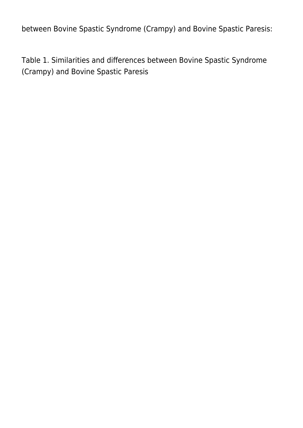between Bovine Spastic Syndrome (Crampy) and Bovine Spastic Paresis:

Table 1. Similarities and differences between Bovine Spastic Syndrome (Crampy) and Bovine Spastic Paresis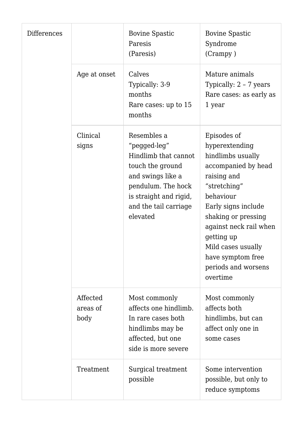| <b>Differences</b> |                              | <b>Bovine Spastic</b><br>Paresis<br>(Paresis)                                                                                                                                     | <b>Bovine Spastic</b><br>Syndrome<br>(Crampy)                                                                                                                                                                                                                                             |
|--------------------|------------------------------|-----------------------------------------------------------------------------------------------------------------------------------------------------------------------------------|-------------------------------------------------------------------------------------------------------------------------------------------------------------------------------------------------------------------------------------------------------------------------------------------|
|                    | Age at onset                 | Calves<br>Typically: 3-9<br>months<br>Rare cases: up to 15<br>months                                                                                                              | Mature animals<br>Typically: 2 - 7 years<br>Rare cases: as early as<br>1 year                                                                                                                                                                                                             |
|                    | Clinical<br>signs            | Resembles a<br>"pegged-leg"<br>Hindlimb that cannot<br>touch the ground<br>and swings like a<br>pendulum. The hock<br>is straight and rigid,<br>and the tail carriage<br>elevated | Episodes of<br>hyperextending<br>hindlimbs usually<br>accompanied by head<br>raising and<br>"stretching"<br>behaviour<br>Early signs include<br>shaking or pressing<br>against neck rail when<br>getting up<br>Mild cases usually<br>have symptom free<br>periods and worsens<br>overtime |
|                    | Affected<br>areas of<br>body | Most commonly<br>affects one hindlimb.<br>In rare cases both<br>hindlimbs may be<br>affected, but one<br>side is more severe                                                      | Most commonly<br>affects both<br>hindlimbs, but can<br>affect only one in<br>some cases                                                                                                                                                                                                   |
|                    | Treatment                    | Surgical treatment<br>possible                                                                                                                                                    | Some intervention<br>possible, but only to<br>reduce symptoms                                                                                                                                                                                                                             |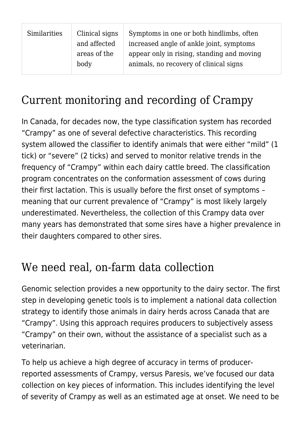| Similarities | Clinical signs<br>and affected | Symptoms in one or both hindlimbs, often<br>increased angle of ankle joint, symptoms |
|--------------|--------------------------------|--------------------------------------------------------------------------------------|
|              | areas of the<br>body           | appear only in rising, standing and moving<br>animals, no recovery of clinical signs |

# Current monitoring and recording of Crampy

In Canada, for decades now, the type classification system has recorded "Crampy" as one of several defective characteristics. This recording system allowed the classifier to identify animals that were either "mild" (1 tick) or "severe" (2 ticks) and served to monitor relative trends in the frequency of "Crampy" within each dairy cattle breed. The classification program concentrates on the conformation assessment of cows during their first lactation. This is usually before the first onset of symptoms – meaning that our current prevalence of "Crampy" is most likely largely underestimated. Nevertheless, the collection of this Crampy data over many years has demonstrated that some sires have a higher prevalence in their daughters compared to other sires.

# We need real, on-farm data collection

Genomic selection provides a new opportunity to the dairy sector. The first step in developing genetic tools is to implement a national data collection strategy to identify those animals in dairy herds across Canada that are "Crampy". Using this approach requires producers to subjectively assess "Crampy" on their own, without the assistance of a specialist such as a veterinarian.

To help us achieve a high degree of accuracy in terms of producerreported assessments of Crampy, versus Paresis, we've focused our data collection on key pieces of information. This includes identifying the level of severity of Crampy as well as an estimated age at onset. We need to be